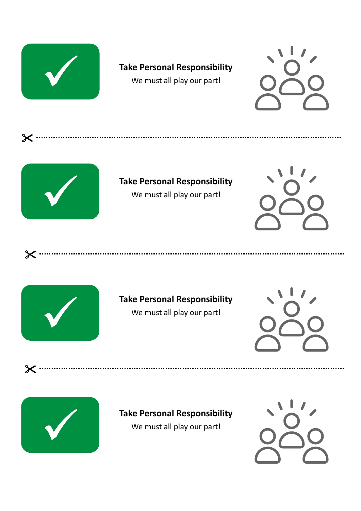





 $\boldsymbol{\times}$ 

 $\times \cdot$ 

 $\boldsymbol{\times}$  ......

## **Take Personal Responsibility**

We must all play our part!





# **Take Personal Responsibility**

We must all play our part!





### **Take Personal Responsibility**

We must all play our part!

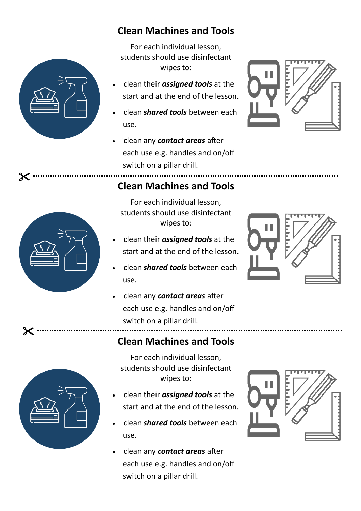

# **Clean Machines and Tools**

For each individual lesson, students should use disinfectant wipes to:

- clean their *assigned tools* at the start and at the end of the lesson.
- clean *shared tools* between each use.
- clean any *contact areas* after each use e.g. handles and on/off switch on a pillar drill.





 $\boldsymbol{\times}$ 

 $\boldsymbol{\times}$ 

## **Clean Machines and Tools**

- For each individual lesson, students should use disinfectant wipes to:
- clean their *assigned tools* at the start and at the end of the lesson.
- clean *shared tools* between each use.
- clean any *contact areas* after each use e.g. handles and on/off switch on a pillar drill.





**Clean Machines and Tools**

For each individual lesson, students should use disinfectant wipes to:

- clean their *assigned tools* at the start and at the end of the lesson.
- clean *shared tools* between each use.
- clean any *contact areas* after each use e.g. handles and on/off switch on a pillar drill.

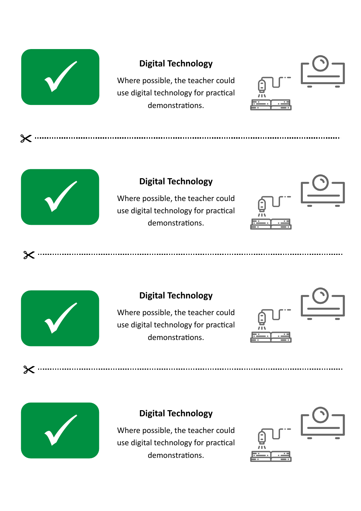

#### **Digital Technology**

Where possible, the teacher could use digital technology for practical demonstrations.

....................................





 $\boldsymbol{\times}$ 

 $\boldsymbol{\times}$ 

 $\boldsymbol{\times}$ 

#### **Digital Technology**

Where possible, the teacher could use digital technology for practical demonstrations.





#### **Digital Technology**

Where possible, the teacher could use digital technology for practical demonstrations.



#### **Digital Technology**

Where possible, the teacher could use digital technology for practical demonstrations.

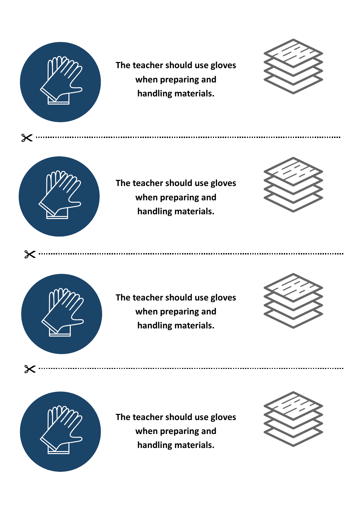

 $\boldsymbol{\times}$ 

**The teacher should use gloves when preparing and handling materials.**

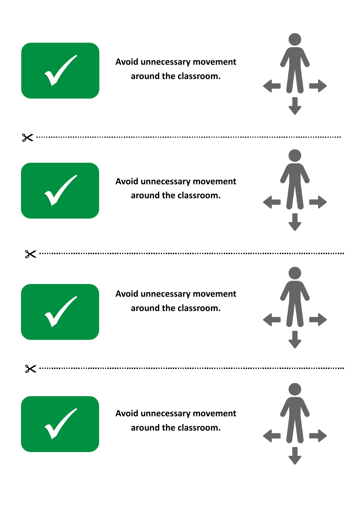

**Avoid unnecessary movement around the classroom.**





 $\chi$ 

 $\boldsymbol{\times}$ 



**Avoid unnecessary movement around the classroom.**





**Avoid unnecessary movement around the classroom.**



✓

**Avoid unnecessary movement around the classroom.**

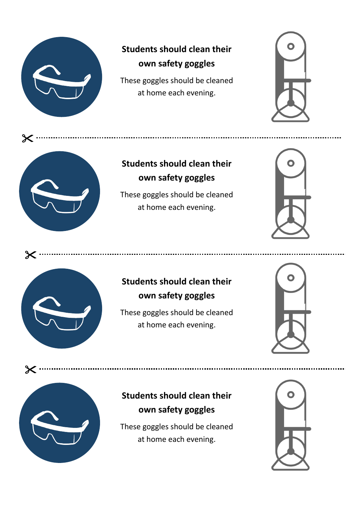

# **Students should clean their own safety goggles**

These goggles should be cleaned at home each evening.





# **Students should clean their own safety goggles**

These goggles should be cleaned at home each evening.





Ж

### **Students should clean their own safety goggles**

These goggles should be cleaned at home each evening.





# **Students should clean their own safety goggles**

These goggles should be cleaned at home each evening.

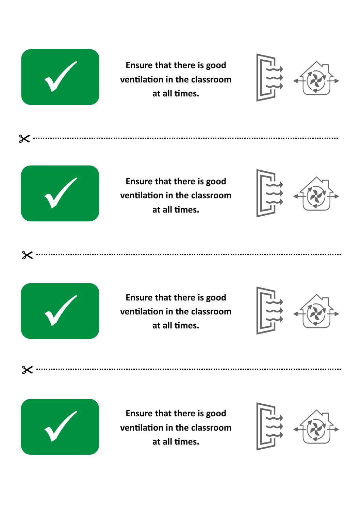

**Ensure that there is good ventilation in the classroom at all times.**





 $\times \cdot$ 

 $\boldsymbol{\times}$ 

 $\times$ 

**Ensure that there is good ventilation in the classroom at all times.**





**Ensure that there is good ventilation in the classroom at all times.**





**Ensure that there is good ventilation in the classroom at all times.**